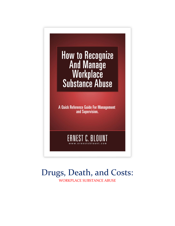

# Drugs, Death, and Costs: WORKPLACE SUBSTANCE ABUSE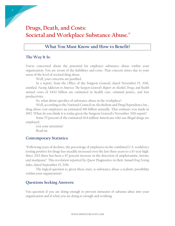## **Drugs, Death, and Costs: Societal and Workplace Substance Abuse.©**

## **What You Must Know and How to Benefit!**

#### **The Way It Is:**

1

You're concerned about the potential for employee substance abuse within your organization. You are aware of the liabilities and costs. That concern arises due to your sense of the level of societal drug abuse.

Well, your concerns are justified.

In a report, from the Office of the Surgeon General, dated November 15, 2016, entitled, *Facing Addiction in America: The Surgeon General's Report on Alcohol, Drugs, and Health* annual costs of \$442 billion are estimated in health care, criminal justice, and lost productivity.

So, what about specifics of substance abuse in the workplace?

Well, according to the National Council on Alcoholism and Drug Dependence Inc., drug abuse cost employers an estimated \$81 billion annually. That estimate was made in 1992. What do you think it is today given the Surgeon General's November 2016 report?

Some 70 percent of the estimated 14.8 million Americans who use illegal drugs are employed.

Got your attention? Read on.

### **Contemporary Statistics:**

"Following years of declines, the percentage of employees in the combined U.S. workforce testing positive for drugs has steadily increased over the last three years to a 10-year high. Since 2013 there has been a 47 percent increase in the detection of amphetamine, heroin, and marijuana". This revelation reported by Quest Diagnostics in their *Annual Drug Testing Index,* dated September 15, 2016.

The logical question is, given these stats, is substance abuse a realistic possibility within your organization?

### **Questions Seeking Answers:**

You question if you are doing enough to prevent intrusion of *substance abuse* into your organization and if what you are doing is enough and working.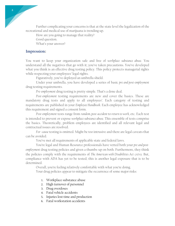Further complicating your concerns is that at the state level the legalization of the recreational and medical use of marijuana is trending up.

How are you going to manage that reality? Good question. What's your answer?

## **Impression:**

You want to keep your organization safe and free of *workplace substance abuse*. You understand all the negatives that go with it; you've taken precautions. You've developed what you think is an effective drug testing policy. This policy protects managerial rights while respecting your employees' legal rights.

Figuratively, you've deployed an umbrella shield.

Under your umbrella, you have developed a series of basic *pre and post-employment* drug testing requirements.

*Pre-employment* drug testing is pretty simple. That's a done deal.

*Post-employment* testing requirements are new and cover the basics. These are mandatory drug tests and apply to all employees'. Each category of testing and requirements are published in your *Employee Handbook*. Each employee has acknowledged this requirement and signed a consent form.

*Post-employment* tests range from *random, post-accident* to *return to work,* etc. Each test is intended to prevent or expose *workplace substance abuse.* This ensemble of tests comprise the basics. Theoretically, problem employees are identified and all relevant legal and contractual issues are resolved.

*For -cause* testing is omitted. Might be too intrusive and there are legal caveats that can be avoided.

You've met all requirements of applicable state and federal laws.

You're legal and Human Resource professionals have vetted both your *pre and postemployment* drug testing policies and given a thumbs-up on both. Furthermore, they think the policies comply with the requirements of *The American with Disabilities Act* (ADA). But, compliance with ADA has yet to be tested; this is another legal exposure that is to be determined.

Overall, you're feeling relatively comfortable with what you're doing. Your drug policies appear to mitigate the occurrence of some major risks:

- 1. Workplace substance abuse
- 2. High turnover of personnel
- 3. Drug overdoses
- 4. Fatal vehicle accidents
- 5. Injuries lost time and production
- 6. Fatal workstation accidents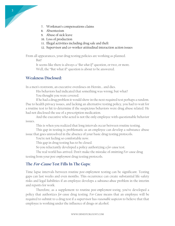- 7. Workman's compensations claims
- 8. Absenteeism
- 9. Abuse of sick leave
- 10. Loss of production
- 11. Illegal activities including drug sale and theft
- 12. Supervisor and co-worker attitudinal interaction action issues

From all appearances, your drug testing policies are working as planned. But!

It seems like there is always a "*But what If"* question, or two, or more. Well, the "But what if" question is about to be answered.

### **Weakness Disclosed:**

In a men's restroom, an executive overdoses on Heroin… and dies.

His behaviors had indicated that something was wrong; but what? You thought you were covered.

If he had a drug problem it would show in the next required test perhaps a random. Due to health privacy issues, and lacking an alternative testing policy, you had to wait for a routine test to hit to determine if the suspicious behaviors were drug abuse related. He had not disclosed the use of a prescription medication.

And the executive who acted is not the only employee with questionable behavior issues.

This is when you realized that long intervals occur between routine testing.

This gap in testing is problematic as an employee can develop a substance abuse issue that goes unresolved in the absence of your basic drug testing protocols.

You're not feeling so comfortable now.

This gap in drug testing has to be closed.

So you reluctantly developed a policy authorizing a *for-cause* test.

The real world has arrived. Don't make the mistake of omitting *For-cause* drug testing from your *post-employment* drug testing protocols.

#### **The For-Cause Test Fills In The Gaps:**

Time lapse intervals between routine *post-employment* testing can be significant. Testing gaps can last weeks and even months. This occurrence can create substantial life-safety risks and legal liabilities if an employee develops a *substance abuse* problem in the interim and reports for work.

Therefore, as a supplement to routine *post-employment testing*, you've developed a policy that authorizes *for-cause* drug testing. *For-Cause* means that an employee will be required to submit to a drug test if a supervisor has *reasonable suspicion* to believe that that employee is working under the influence of drugs or alcohol.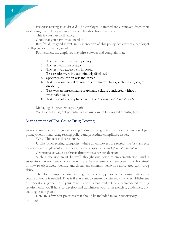*For-cause* testing is *on-demand*. The employee is immediately removed from their work assignment. Exigent circumstance dictates this immediacy.

This is your catch-all policy.

Good that you have it; you need it.

But, for all its good intent, implementation of this policy does create a catalog of red flag issues for management.

For instance, the employee may hire a lawyer and complain that:

- 1. The test is an invasion of privacy
- 2. The test was unnecessary
- 3. The test was excessively imposed
- 4. Test results were indiscriminately disclosed
- 5. Specimen collection was indiscreet
- 6. Test was done based on some discriminatory basis, such as race, sex, or disability
- 7. Test was an unreasonable search and seizure conducted without reasonable cause
- 8. Test was not in compliance with the *Americans with Disabilities Act<sup>1</sup>*

Managing the problem is your job. You best get it right if potential legal issues are to be avoided or mitigated.

## **Management of For-Cause Drug Testing**:

As noted management of *for-cause* drug testing is fraught with a matrix of fairness, legal, privacy, definitional, drug testing policy, and procedure compliance issues.

Why? This test is discretionary.

Unlike other testing categories, where all employees are tested, the *for-cause* test identifies and singles out a specific employee suspected of *workplace substance abuse*.

Ordering a *for-cause*, *on-demand* drug test is a serious decision.

Such a decision must be well thought-out prior to implementation. And a supervisor may not have a lot of time to make the assessment or have been properly trained in how to objectively identify and document common behaviors associated with drug abuse.

Therefore, comprehensive training of supervisory personnel is required. At least a couple of hours is needed. That is if you want to ensure consistency in the establishment of *reasonable suspicion*. So if your organization is not under federally-mandated testing requirements you'll have to develop and administer your own policies, guidelines, and training lesson plans.

Here are a few best practices that should be included in your supervisory training<sup>2</sup>:

4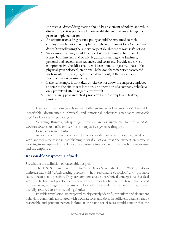- 1. *For-cause, on-demand* drug testing should be an element of policy, and while discretionary, it is predicated upon establishment of *reasonable suspicion* prior to implementation.
- 2. An organization's drug testing policy should be explained to each employee with particular emphasis on the requirement for a *for-cause, ondemand* test following the supervisory establishment of *reasonable suspicion*.
- 3. Supervisory training should include, but not be limited to life safety issues, both internal and public, legal liabilities, negative business, personal and societal consequences, and costs, etc. Provide clues via a comprehensive checklist that identifies common, objective, observable, physical, psychological, emotional, behavior characteristics associated with substance abuse, legal or illegal, in or out, of the workplace. Documentation requirements.
- 4. If the test sample is not taken on-site do not allow the suspect employee to drive to the offsite test location. The operation of a company vehicle is only permitted after a negative test result.
- 5. Provide an appeal and retest provision for those employees testing positive.

*For-cause* drug testing is *only* initiated after an analysis of an employees' observable, identifiable, documentable, physical, and emotional behaviors establishes *reasonable suspicion* of *workplace substance abuse*.

Warning! Rumors, whisperings, hunches, and or suspicion alone of *workplace substance abuse* is not sufficient verification to justify a *for-cause* drug test.

Don't act on an impulse.

5

As a supervisor, once suspicion becomes a valid concern, if possible, collaborate with another supervisor in establishing *reasonable suspicion* that the suspect employee is working in an impaired state. This collaboration is intended to protect both the supervisor and the employee.

## **Reasonable Suspicion Defined:**

So, what is the definition of reasonable suspicion?

The U.S. Supreme Court in *Ornelas v. United States, 517 U.S. at 695-96* (citations omitted) has said "…Articulating precisely what "reasonable suspicion" and "probable cause" mean is not possible. They are commonsense, nontechnical conceptions that deal with the factual and practical considerations of everyday life on which reasonable and prudent men, not legal technicians act. As such, the standards are not readily, or even usefully, reduced to a neat set of legal rules."

Possible translation: Be prepared to objectively identify, articulate and document behaviors commonly associated with *substance abuse* and do so in sufficient detail so that a reasonable and prudent person looking at the same set of facts would concur that the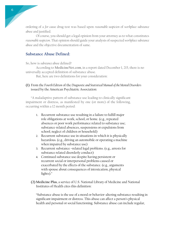ordering of a *for-cause* drug test was based upon *reasonable suspicion* of *workplace substance abuse* and justified.

Of course, you should get a legal opinion from your attorney as to what constitutes *reasonable suspicion*. That opinion should guide your analysis of suspected *workplace substance abuse* and the objective documentation of same.

#### **Substance Abuse Defined:**

So, how is *substance abuse* defined?

According to **MedicineNet.com**, in a report dated December 1, 215, there is no universally accepted definition of substance abuse.

But, here are two definitions for your consideration:

#### **(1)** From the *Fourth Edition* of the *Diagnostic and Statistical Manual of the Mental Disorders* issued by the American Psychiatric Association:

"A maladaptive pattern of substance use leading to clinically significant impairment or distress, as manifested by one (or more) of the following, occurring within a 12 month period:

- 1. Recurrent substance use resulting in a failure to fulfill major role obligations at work, school, or home. (e.g., repeated absences or poor work performance related to substance use; substance-related absences, suspensions or expulsions from school; neglect of children or household)
- 2. Recurrent substance use in situations in which it is physically hazardous. (e.g., driving an automobile or operating a machine when impaired by substance use)
- 3. Recurrent substance –related legal problems. (e.g., arrests for substance related disorderly conduct)
- 4. Continued substance use despite having persistent or recurrent social or interpersonal problems caused or exacerbated by the effects of the substance. (e.g., arguments with spouse about consequences of intoxication, physical fights)."
- **(2) Medicine Plus**, a service of U.S. National Library of Medicine and National Institutes of Health cites this definition:

"Substance abuse is the use of a mood or behavior-altering substance resulting in significant impairment or distress. This abuse can affect a person's physical health and personal or social functioning. Substance abuse can include regular,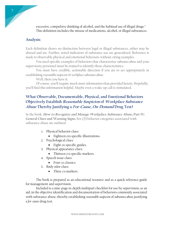excessive, compulsive drinking of alcohol, and the habitual use of illegal drugs." This definition includes the misuse of medications, alcohol, or illegal substances.

## **Analysis:**

7

Each definition draws no distinction between legal or illegal substances; either may be abused and are. Further, noted indicators of substance use are generalized. Reference is made to observable physical and emotional behaviors without citing examples.

You need specific examples of behaviors that characterize *substance abuse* and your supervisory personnel must be trained to identify those characteristics.

You must have credible, actionable direction if you are to act appropriately in establishing *reasonable suspicion* of *workplace substance abuse*.

Well, there you have it.

Of course, you'll require much more information than provided herein. Hopefully, you'll find this information helpful. Maybe even a wake-up call is stimulated.

## **What Observable, Documentable, Physical, and Emotional Behaviors Objectively Establish Reasonable Suspicion of Workplace Substance Abuse Thereby Justifying a For-Cause, On-Demand Drug Test?**

In the book, **How to Recognize and Manage Workplace Substance Abuse, Part IV: General Clues and Warning Signs**, five (5) behavior categories associated with substance abuse are outlined:

- 1. Physical behavior clues:
	- Eighteen (18) specific illustrations.
- 2. Psychological clues:
	- Eight (8) specific guides.
- 3. Physical appearance clues:
	- Thirteen (13) specific markers.
- 4. Speech issue clues:
	- Four  $(4)$  classics.
- 5. Body odor clues:
	- Three (3) markers.

The book is prepared as an educational resource and as a quick reference guide for management and supervision.

Included is a nine-page in-depth multipart checklist for use by supervision, as an aid, in the objective identification and documentation of behaviors commonly associated with substance abuse; thereby establishing *reasonable suspicion* of *substance abuse* justifying a *for-cause* drug test.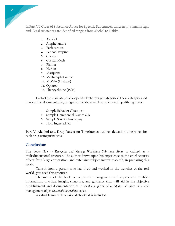In **Part VI: Clues of Substance Abuse for Specific Substances**, thirteen (13) common legal and illegal substances are identified ranging from alcohol to Flakka.

- 1. Alcohol
- 2. Amphetamine
- 3. Barbiturates
- 4. Benzodiazepine
- 5. Cocaine
- 6. Crystal Meth
- 7. Flakka
- 8. Heroin
- 9. Marijuana
- 10. Methamphetamine
- 11. MDMA (Ecstacy)
- 12. Opiates
- 13. Phencyclidine (PCP)

Each of these substances is separated into four (4) categories. These categories aid in objective, documentable, recognition of abuse with supplemental qualifying notes:

- 1. Sample Behavior Clues (196)
- 2. Sample Commercial Names (46)
- 3. Sample Street Names (192)
- 4. How Ingested (52)

**Part V: Alcohol and Drug Detection Timeframes** outlines detection timeframes for each drug using urinalysis.

## **Conclusion:**

The book *How to Recognize and Manage Workplace Substance Abuse* is crafted as a multidimensional resource. The author draws upon his experience as the chief security officer for a large corporation, and extensive subject matter research, in preparing this work.

Take it from a person who has lived and worked in the trenches of the real world…you need this resource.

The intent of the book is to provide management and supervision credible information, practical insight, structure, and guidance that will aid in the objective establishment and documentation of *reasonable suspicion* of *workplace substance abuse* and management of *for-cause substance abuse* cases.

A valuable multi-dimensional checklist is included.